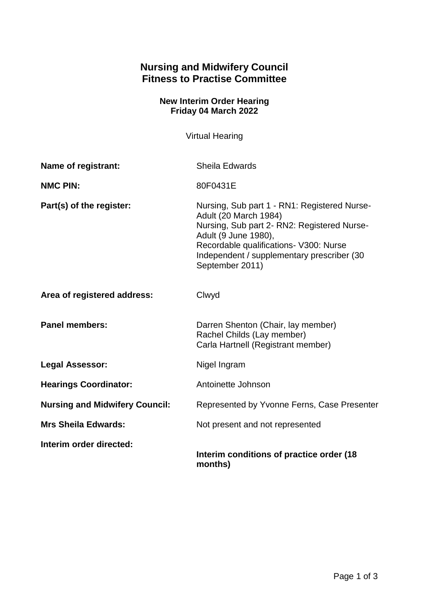## **Nursing and Midwifery Council Fitness to Practise Committee**

## **New Interim Order Hearing Friday 04 March 2022**

Virtual Hearing

| Name of registrant:                   | <b>Sheila Edwards</b>                                                                                                                                                                                                                                   |
|---------------------------------------|---------------------------------------------------------------------------------------------------------------------------------------------------------------------------------------------------------------------------------------------------------|
| <b>NMC PIN:</b>                       | 80F0431E                                                                                                                                                                                                                                                |
| Part(s) of the register:              | Nursing, Sub part 1 - RN1: Registered Nurse-<br>Adult (20 March 1984)<br>Nursing, Sub part 2- RN2: Registered Nurse-<br>Adult (9 June 1980),<br>Recordable qualifications- V300: Nurse<br>Independent / supplementary prescriber (30<br>September 2011) |
| Area of registered address:           | Clwyd                                                                                                                                                                                                                                                   |
| <b>Panel members:</b>                 | Darren Shenton (Chair, lay member)<br>Rachel Childs (Lay member)<br>Carla Hartnell (Registrant member)                                                                                                                                                  |
| <b>Legal Assessor:</b>                | Nigel Ingram                                                                                                                                                                                                                                            |
| <b>Hearings Coordinator:</b>          | Antoinette Johnson                                                                                                                                                                                                                                      |
| <b>Nursing and Midwifery Council:</b> | Represented by Yvonne Ferns, Case Presenter                                                                                                                                                                                                             |
| <b>Mrs Sheila Edwards:</b>            | Not present and not represented                                                                                                                                                                                                                         |
| Interim order directed:               | Interim conditions of practice order (18)<br>months)                                                                                                                                                                                                    |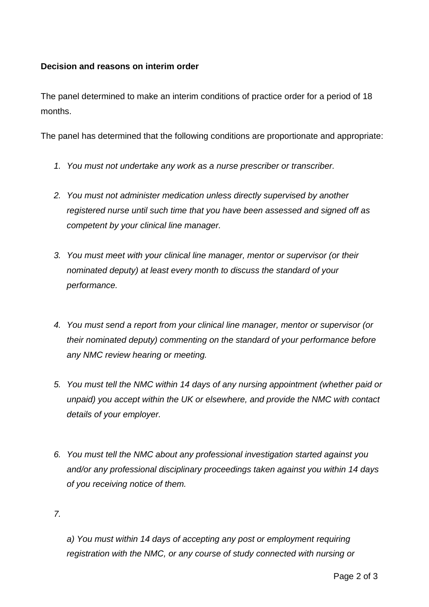## **Decision and reasons on interim order**

The panel determined to make an interim conditions of practice order for a period of 18 months.

The panel has determined that the following conditions are proportionate and appropriate:

- *1. You must not undertake any work as a nurse prescriber or transcriber.*
- *2. You must not administer medication unless directly supervised by another registered nurse until such time that you have been assessed and signed off as competent by your clinical line manager.*
- *3. You must meet with your clinical line manager, mentor or supervisor (or their nominated deputy) at least every month to discuss the standard of your performance.*
- *4. You must send a report from your clinical line manager, mentor or supervisor (or their nominated deputy) commenting on the standard of your performance before any NMC review hearing or meeting.*
- *5. You must tell the NMC within 14 days of any nursing appointment (whether paid or unpaid) you accept within the UK or elsewhere, and provide the NMC with contact details of your employer.*
- *6. You must tell the NMC about any professional investigation started against you and/or any professional disciplinary proceedings taken against you within 14 days of you receiving notice of them.*

*7.*

*a) You must within 14 days of accepting any post or employment requiring registration with the NMC, or any course of study connected with nursing or*